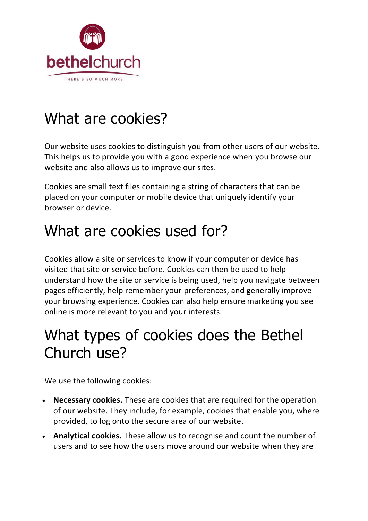

## What are cookies?

Our website uses cookies to distinguish you from other users of our website. This helps us to provide you with a good experience when you browse our website and also allows us to improve our sites.

Cookies are small text files containing a string of characters that can be placed on your computer or mobile device that uniquely identify your browser or device.

### What are cookies used for?

Cookies allow a site or services to know if your computer or device has visited that site or service before. Cookies can then be used to help understand how the site or service is being used, help you navigate between pages efficiently, help remember your preferences, and generally improve your browsing experience. Cookies can also help ensure marketing you see online is more relevant to you and your interests.

### What types of cookies does the Bethel Church use?

We use the following cookies:

- **Necessary cookies.** These are cookies that are required for the operation of our website. They include, for example, cookies that enable you, where provided, to log onto the secure area of our website.
- **Analytical cookies.** These allow us to recognise and count the number of users and to see how the users move around our website when they are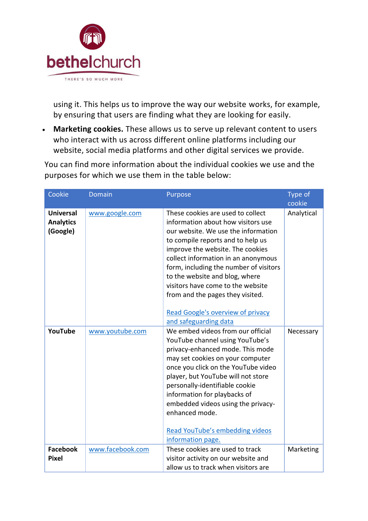

using it. This helps us to improve the way our website works, for example, by ensuring that users are finding what they are looking for easily.

• **Marketing cookies.** These allows us to serve up relevant content to users who interact with us across different online platforms including our website, social media platforms and other digital services we provide.

You can find more information about the individual cookies we use and the purposes for which we use them in the table below:

| Cookie                                           | <b>Domain</b>    | Purpose                                                                                                                                                                                                                                                                                                                                                                                                                                                  | Type of<br>cookie |
|--------------------------------------------------|------------------|----------------------------------------------------------------------------------------------------------------------------------------------------------------------------------------------------------------------------------------------------------------------------------------------------------------------------------------------------------------------------------------------------------------------------------------------------------|-------------------|
| <b>Universal</b><br><b>Analytics</b><br>(Google) | www.google.com   | These cookies are used to collect<br>information about how visitors use<br>our website. We use the information<br>to compile reports and to help us<br>improve the website. The cookies<br>collect information in an anonymous<br>form, including the number of visitors<br>to the website and blog, where<br>visitors have come to the website<br>from and the pages they visited.<br><b>Read Google's overview of privacy</b><br>and safeguarding data | Analytical        |
| YouTube                                          | www.youtube.com  | We embed videos from our official<br>YouTube channel using YouTube's<br>privacy-enhanced mode. This mode<br>may set cookies on your computer<br>once you click on the YouTube video<br>player, but YouTube will not store<br>personally-identifiable cookie<br>information for playbacks of<br>embedded videos using the privacy-<br>enhanced mode.<br>Read YouTube's embedding videos<br>information page.                                              | Necessary         |
| <b>Facebook</b><br><b>Pixel</b>                  | www.facebook.com | These cookies are used to track<br>visitor activity on our website and<br>allow us to track when visitors are                                                                                                                                                                                                                                                                                                                                            | Marketing         |